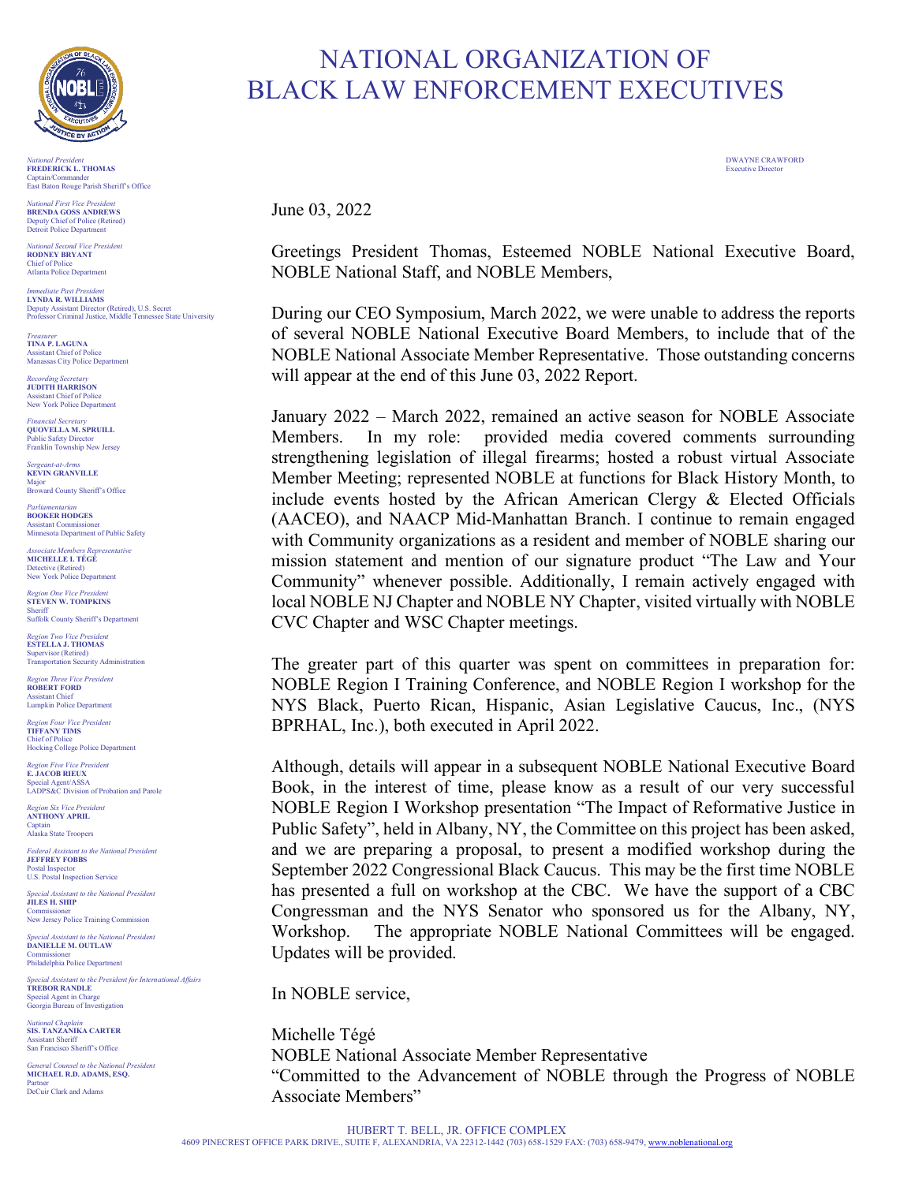

*National President* DWAYNE CRAWFORD **FREDERICK L. THOMAS** Executive Director Captain/Commander East Baton Rouge Parish Sheriff's Office

*National First Vice President* **BRENDA GOSS ANDREWS** Deputy Chief of Police (Retired) Detroit Police Department

*National Second Vice President*  **RODNEY BRYANT** Chief of Police Atlanta Police Department

*Immediate Past President* **LYNDA R. WILLIAMS** Deputy Assistant Director (Retired), U.S. Secret Professor Criminal Justice, Middle Tennessee State University

*Treasurer* **TINA P. LAGUNA** Assistant Chief of Police Manassas City Police Department

*Recording Secretary* **JUDITH HARRISON** Assistant Chief of Police New York Police Department

*Financial Secretary* **QUOVELLA M. SPRUILL** Public Safety Director Franklin Township New Jersey

*Sergeant-at-Arms* **KEVIN GRANVILLE** Major Broward County Sheriff's Office

*Parliamentarian* **BOOKER HODGES** Assistant Commissioner Minnesota Department of Public Safety

*Associate Members Representative* **MICHELLE I. TÉGÉ** Detective (Retired) New York Police Department

*Region One Vice President* **STEVEN W. TOMPKINS** Sheriff Suffolk County Sheriff's Department

**Region Two Vice President ESTELLA J. THOMAS**

Supervisor (Retired) Transportation Security Administration

*Region Three Vice President*  **ROBERT FORD** Assistant Chief Lumpkin Police Department

*Region Four Vice President* **TIFFANY TIMS** Chief of Police Hocking College Police Department

*Region Five Vice President*  **E. JACOB RIEUX** Special Agent/ASSA LADPS&C Division of Probation and Parole

*Region Six Vice President* **ANTHONY APRIL** Captain Alaska State Troopers

*Federal Assistant to the National President* **JEFFREY FOBBS** Postal Inspector U.S. Postal Inspection Service

*Special Assistant to the National President* **JILES H. SHIP** Commissioner New Jersey Police Training Commission

*Special Assistant to the National President* **DANIELLE M. OUTLAW**

Commissioner Philadelphia Police Department *Special Assistant to the President for International Affairs*

**TREBOR RANDLE** Special Agent in Charge Georgia Bureau of Investigation

*National Chaplain* **SIS. TANZANIKA CARTER** Assistant Sheriff San Francisco Sheriff's Office

*General Counsel to the National President* **MICHAEL R.D. ADAMS, ESQ.** Partner DeCuir Clark and Adams

# NATIONAL ORGANIZATION OF BLACK LAW ENFORCEMENT EXECUTIVES

June 03, 2022

Greetings President Thomas, Esteemed NOBLE National Executive Board, NOBLE National Staff, and NOBLE Members,

During our CEO Symposium, March 2022, we were unable to address the reports of several NOBLE National Executive Board Members, to include that of the NOBLE National Associate Member Representative. Those outstanding concerns will appear at the end of this June 03, 2022 Report.

January 2022 – March 2022, remained an active season for NOBLE Associate Members. In my role: provided media covered comments surrounding strengthening legislation of illegal firearms; hosted a robust virtual Associate Member Meeting; represented NOBLE at functions for Black History Month, to include events hosted by the African American Clergy  $\&$  Elected Officials (AACEO), and NAACP Mid-Manhattan Branch. I continue to remain engaged with Community organizations as a resident and member of NOBLE sharing our mission statement and mention of our signature product "The Law and Your Community" whenever possible. Additionally, I remain actively engaged with local NOBLE NJ Chapter and NOBLE NY Chapter, visited virtually with NOBLE CVC Chapter and WSC Chapter meetings.

The greater part of this quarter was spent on committees in preparation for: NOBLE Region I Training Conference, and NOBLE Region I workshop for the NYS Black, Puerto Rican, Hispanic, Asian Legislative Caucus, Inc., (NYS BPRHAL, Inc.), both executed in April 2022.

Although, details will appear in a subsequent NOBLE National Executive Board Book, in the interest of time, please know as a result of our very successful NOBLE Region I Workshop presentation "The Impact of Reformative Justice in Public Safety", held in Albany, NY, the Committee on this project has been asked, and we are preparing a proposal, to present a modified workshop during the September 2022 Congressional Black Caucus. This may be the first time NOBLE has presented a full on workshop at the CBC. We have the support of a CBC Congressman and the NYS Senator who sponsored us for the Albany, NY, Workshop. The appropriate NOBLE National Committees will be engaged. Updates will be provided.

In NOBLE service,

Michelle Tégé NOBLE National Associate Member Representative "Committed to the Advancement of NOBLE through the Progress of NOBLE Associate Members"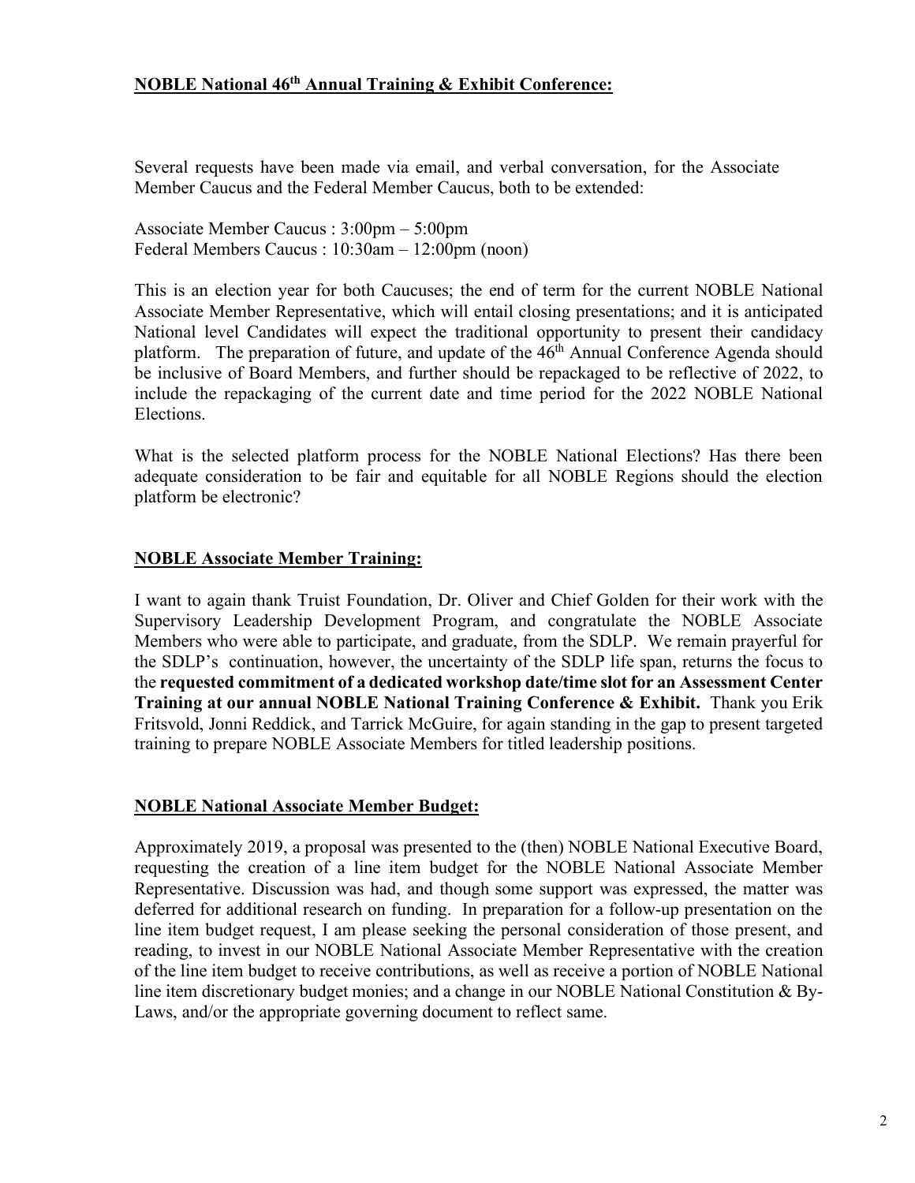## **NOBLE National 46th Annual Training & Exhibit Conference:**

Several requests have been made via email, and verbal conversation, for the Associate Member Caucus and the Federal Member Caucus, both to be extended:

Associate Member Caucus : 3:00pm – 5:00pm Federal Members Caucus : 10:30am – 12:00pm (noon)

This is an election year for both Caucuses; the end of term for the current NOBLE National Associate Member Representative, which will entail closing presentations; and it is anticipated National level Candidates will expect the traditional opportunity to present their candidacy platform. The preparation of future, and update of the 46<sup>th</sup> Annual Conference Agenda should be inclusive of Board Members, and further should be repackaged to be reflective of 2022, to include the repackaging of the current date and time period for the 2022 NOBLE National Elections.

What is the selected platform process for the NOBLE National Elections? Has there been adequate consideration to be fair and equitable for all NOBLE Regions should the election platform be electronic?

#### **NOBLE Associate Member Training:**

I want to again thank Truist Foundation, Dr. Oliver and Chief Golden for their work with the Supervisory Leadership Development Program, and congratulate the NOBLE Associate Members who were able to participate, and graduate, from the SDLP. We remain prayerful for the SDLP's continuation, however, the uncertainty of the SDLP life span, returns the focus to the **requested commitment of a dedicated workshop date/time slot for an Assessment Center Training at our annual NOBLE National Training Conference & Exhibit.** Thank you Erik Fritsvold, Jonni Reddick, and Tarrick McGuire, for again standing in the gap to present targeted training to prepare NOBLE Associate Members for titled leadership positions.

#### **NOBLE National Associate Member Budget:**

Approximately 2019, a proposal was presented to the (then) NOBLE National Executive Board, requesting the creation of a line item budget for the NOBLE National Associate Member Representative. Discussion was had, and though some support was expressed, the matter was deferred for additional research on funding. In preparation for a follow-up presentation on the line item budget request, I am please seeking the personal consideration of those present, and reading, to invest in our NOBLE National Associate Member Representative with the creation of the line item budget to receive contributions, as well as receive a portion of NOBLE National line item discretionary budget monies; and a change in our NOBLE National Constitution & By-Laws, and/or the appropriate governing document to reflect same.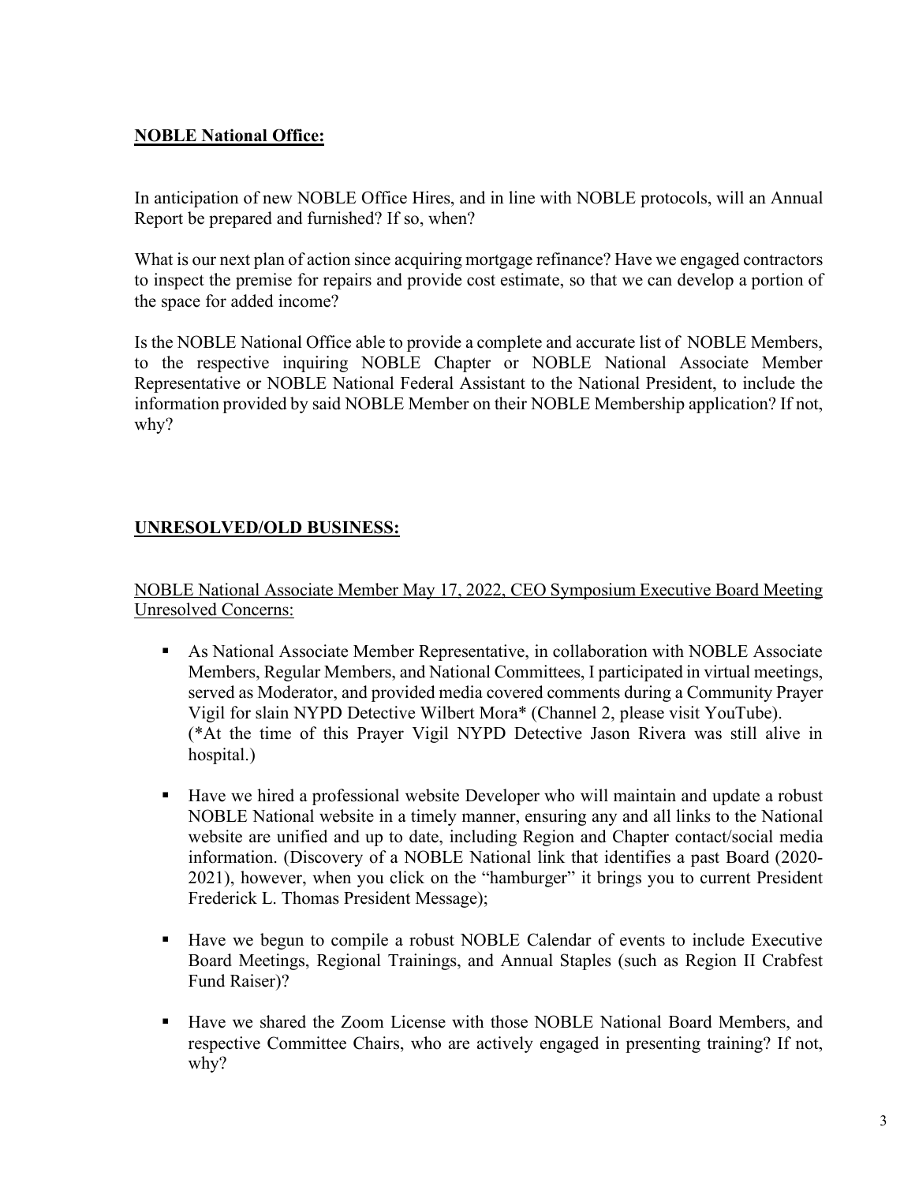## **NOBLE National Office:**

In anticipation of new NOBLE Office Hires, and in line with NOBLE protocols, will an Annual Report be prepared and furnished? If so, when?

What is our next plan of action since acquiring mortgage refinance? Have we engaged contractors to inspect the premise for repairs and provide cost estimate, so that we can develop a portion of the space for added income?

Is the NOBLE National Office able to provide a complete and accurate list of NOBLE Members, to the respective inquiring NOBLE Chapter or NOBLE National Associate Member Representative or NOBLE National Federal Assistant to the National President, to include the information provided by said NOBLE Member on their NOBLE Membership application? If not, why?

# **UNRESOLVED/OLD BUSINESS:**

NOBLE National Associate Member May 17, 2022, CEO Symposium Executive Board Meeting Unresolved Concerns:

- § As National Associate Member Representative, in collaboration with NOBLE Associate Members, Regular Members, and National Committees, I participated in virtual meetings, served as Moderator, and provided media covered comments during a Community Prayer Vigil for slain NYPD Detective Wilbert Mora\* (Channel 2, please visit YouTube). (\*At the time of this Prayer Vigil NYPD Detective Jason Rivera was still alive in hospital.)
- § Have we hired a professional website Developer who will maintain and update a robust NOBLE National website in a timely manner, ensuring any and all links to the National website are unified and up to date, including Region and Chapter contact/social media information. (Discovery of a NOBLE National link that identifies a past Board (2020- 2021), however, when you click on the "hamburger" it brings you to current President Frederick L. Thomas President Message);
- Have we begun to compile a robust NOBLE Calendar of events to include Executive Board Meetings, Regional Trainings, and Annual Staples (such as Region II Crabfest Fund Raiser)?
- § Have we shared the Zoom License with those NOBLE National Board Members, and respective Committee Chairs, who are actively engaged in presenting training? If not, why?